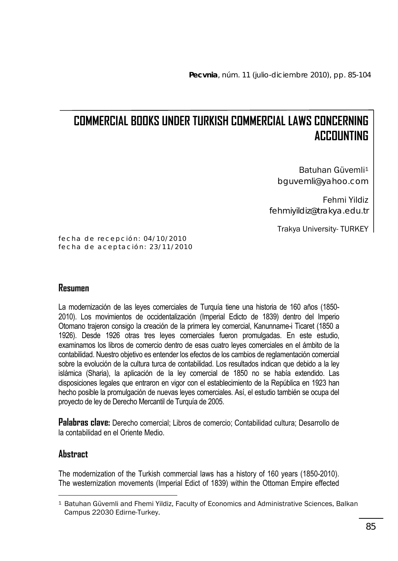# **COMMERCIAL BOOKS UNDER TURKISH COMMERCIAL LAWS CONCERNING ACCOUNTING**

Batuhan Güvemli1 bguvemli@yahoo.com

Fehmi Yildiz fehmiyildiz@trakya.edu.tr

Trakya University- TURKEY

fecha de recepción: 04/10/2010 fecha de aceptación: 23/11/2010

# **Resumen**

La modernización de las leyes comerciales de Turquía tiene una historia de 160 años (1850- 2010). Los movimientos de occidentalización (Imperial Edicto de 1839) dentro del Imperio Otomano trajeron consigo la creación de la primera ley comercial, Kanunname-i Ticaret (1850 a 1926). Desde 1926 otras tres leyes comerciales fueron promulgadas. En este estudio, examinamos los libros de comercio dentro de esas cuatro leyes comerciales en el ámbito de la contabilidad. Nuestro objetivo es entender los efectos de los cambios de reglamentación comercial sobre la evolución de la cultura turca de contabilidad. Los resultados indican que debido a la ley islámica (Sharia), la aplicación de la ley comercial de 1850 no se había extendido. Las disposiciones legales que entraron en vigor con el establecimiento de la República en 1923 han hecho posible la promulgación de nuevas leyes comerciales. Así, el estudio también se ocupa del proyecto de ley de Derecho Mercantil de Turquía de 2005.

**Palabras clave:** Derecho comercial; Libros de comercio; Contabilidad cultura; Desarrollo de la contabilidad en el Oriente Medio.

# **Abstract**

The modernization of the Turkish commercial laws has a history of 160 years (1850-2010). The westernization movements (Imperial Edict of 1839) within the Ottoman Empire effected

 $\overline{a}$ 1 Batuhan Güvemli and Fhemi Yildiz, Faculty of Economics and Administrative Sciences, Balkan Campus 22030 Edirne-Turkey.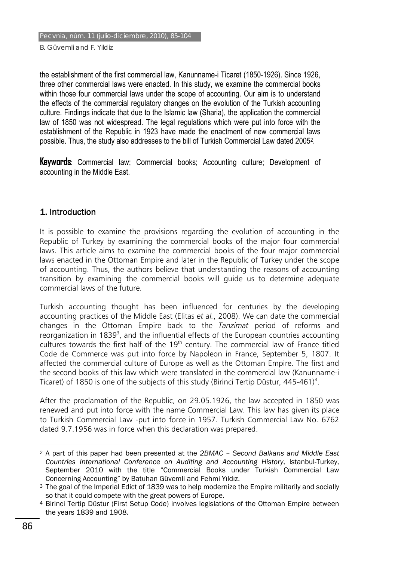the establishment of the first commercial law, Kanunname-i Ticaret (1850-1926). Since 1926, three other commercial laws were enacted. In this study, we examine the commercial books within those four commercial laws under the scope of accounting. Our aim is to understand the effects of the commercial regulatory changes on the evolution of the Turkish accounting culture. Findings indicate that due to the Islamic law (Sharia), the application the commercial law of 1850 was not widespread. The legal regulations which were put into force with the establishment of the Republic in 1923 have made the enactment of new commercial laws possible. Thus, the study also addresses to the bill of Turkish Commercial Law dated 20052.

**Keywords**: Commercial law; Commercial books; Accounting culture; Development of accounting in the Middle East.

#### 1. Introduction

It is possible to examine the provisions regarding the evolution of accounting in the Republic of Turkey by examining the commercial books of the major four commercial laws. This article aims to examine the commercial books of the four major commercial laws enacted in the Ottoman Empire and later in the Republic of Turkey under the scope of accounting. Thus, the authors believe that understanding the reasons of accounting transition by examining the commercial books will guide us to determine adequate commercial laws of the future.

Turkish accounting thought has been influenced for centuries by the developing accounting practices of the Middle East (Elitas *et al.*, 2008). We can date the commercial changes in the Ottoman Empire back to the *Tanzimat* period of reforms and reorganization in 1839<sup>3</sup>, and the influential effects of the European countries accounting cultures towards the first half of the  $19<sup>th</sup>$  century. The commercial law of France titled Code de Commerce was put into force by Napoleon in France, September 5, 1807. It affected the commercial culture of Europe as well as the Ottoman Empire. The first and the second books of this law which were translated in the commercial law (Kanunname-i Ticaret) of 1850 is one of the subjects of this study (Birinci Tertip Düstur, 445-461)<sup>4</sup>.

After the proclamation of the Republic, on 29.05.1926, the law accepted in 1850 was renewed and put into force with the name Commercial Law. This law has given its place to Turkish Commercial Law -put into force in 1957. Turkish Commercial Law No. 6762 dated 9.7.1956 was in force when this declaration was prepared.

 $\overline{a}$ 

<sup>2</sup> A part of this paper had been presented at the *2BMAC – Second Balkans and Middle East Countries International Conference on Auditing and Accounting History*, Istanbul-Turkey, September 2010 with the title "Commercial Books under Turkish Commercial Law Concerning Accounting" by Batuhan Güvemli and Fehmi Yıldız.<br>3 The goal of the Imperial Edict of 1839 was to help modernize the Empire militarily and socially

so that it could compete with the great powers of Europe.

<sup>4</sup> Birinci Tertip Düstur (First Setup Code) involves legislations of the Ottoman Empire between the years 1839 and 1908.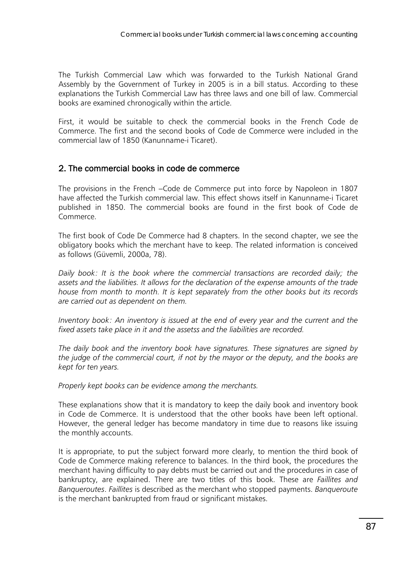The Turkish Commercial Law which was forwarded to the Turkish National Grand Assembly by the Government of Turkey in 2005 is in a bill status. According to these explanations the Turkish Commercial Law has three laws and one bill of law. Commercial books are examined chronogically within the article.

First, it would be suitable to check the commercial books in the French Code de Commerce. The first and the second books of Code de Commerce were included in the commercial law of 1850 (Kanunname-i Ticaret).

#### 2. The commercial books in code de commerce

The provisions in the French −Code de Commerce put into force by Napoleon in 1807 have affected the Turkish commercial law. This effect shows itself in Kanunname-i Ticaret published in 1850. The commercial books are found in the first book of Code de Commerce.

The first book of Code De Commerce had 8 chapters. In the second chapter, we see the obligatory books which the merchant have to keep. The related information is conceived as follows (Güvemli, 2000a, 78).

*Daily book: It is the book where the commercial transactions are recorded daily; the assets and the liabilities. It allows for the declaration of the expense amounts of the trade house from month to month. It is kept separately from the other books but its records are carried out as dependent on them.* 

*Inventory book: An inventory is issued at the end of every year and the current and the fixed assets take place in it and the assetss and the liabilities are recorded.* 

*The daily book and the inventory book have signatures. These signatures are signed by the judge of the commercial court, if not by the mayor or the deputy, and the books are kept for ten years.* 

*Properly kept books can be evidence among the merchants.* 

These explanations show that it is mandatory to keep the daily book and inventory book in Code de Commerce. It is understood that the other books have been left optional. However, the general ledger has become mandatory in time due to reasons like issuing the monthly accounts.

It is appropriate, to put the subject forward more clearly, to mention the third book of Code de Commerce making reference to balances. In the third book, the procedures the merchant having difficulty to pay debts must be carried out and the procedures in case of bankruptcy, are explained. There are two titles of this book. These are *Faillites and Banqueroutes*. *Faillites* is described as the merchant who stopped payments. *Banqueroute* is the merchant bankrupted from fraud or significant mistakes.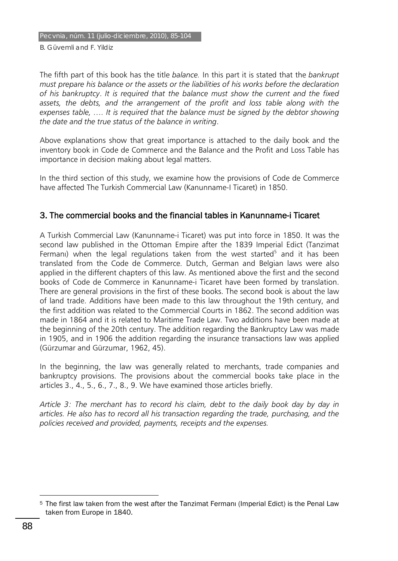The fifth part of this book has the title *balance.* In this part it is stated that the *bankrupt must prepare his balance or the assets or the liabilities of his works before the declaration of his bankruptcy*. *It is required that the balance must show the current and the fixed assets, the debts, and the arrangement of the profit and loss table along with the expenses table, …. It is required that the balance must be signed by the debtor showing the date and the true status of the balance in writing*.

Above explanations show that great importance is attached to the daily book and the inventory book in Code de Commerce and the Balance and the Profit and Loss Table has importance in decision making about legal matters.

In the third section of this study, we examine how the provisions of Code de Commerce have affected The Turkish Commercial Law (Kanunname-I Ticaret) in 1850.

#### 3. The commercial books and the financial tables in Kanunname-i Ticaret

A Turkish Commercial Law (Kanunname-i Ticaret) was put into force in 1850. It was the second law published in the Ottoman Empire after the 1839 Imperial Edict (Tanzimat Fermani) when the legal regulations taken from the west started<sup>5</sup> and it has been translated from the Code de Commerce. Dutch, German and Belgian laws were also applied in the different chapters of this law. As mentioned above the first and the second books of Code de Commerce in Kanunname-i Ticaret have been formed by translation. There are general provisions in the first of these books. The second book is about the law of land trade. Additions have been made to this law throughout the 19th century, and the first addition was related to the Commercial Courts in 1862. The second addition was made in 1864 and it is related to Maritime Trade Law. Two additions have been made at the beginning of the 20th century. The addition regarding the Bankruptcy Law was made in 1905, and in 1906 the addition regarding the insurance transactions law was applied (Gürzumar and Gürzumar, 1962, 45).

In the beginning, the law was generally related to merchants, trade companies and bankruptcy provisions. The provisions about the commercial books take place in the articles 3., 4., 5., 6., 7., 8., 9. We have examined those articles briefly.

*Article 3: The merchant has to record his claim, debt to the daily book day by day in articles. He also has to record all his transaction regarding the trade, purchasing, and the policies received and provided, payments, receipts and the expenses.* 

 $\overline{a}$ 5 The first law taken from the west after the Tanzimat Fermanı (Imperial Edict) is the Penal Law taken from Europe in 1840.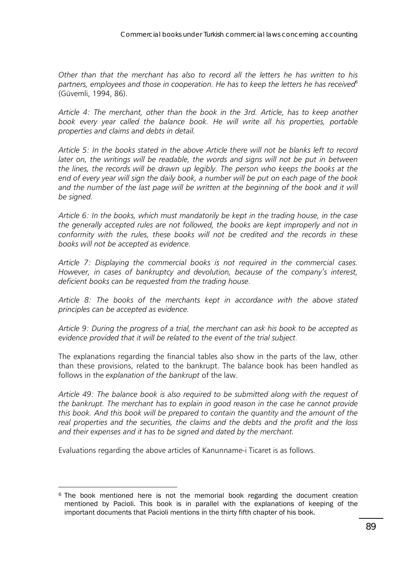*Other than that the merchant has also to record all the letters he has written to his partners, employees and those in cooperation. He has to keep the letters he has received6* (Güvemli, 1994, 86).

*Article 4: The merchant, other than the book in the 3rd. Article, has to keep another*  book every year called the balance book. He will write all his properties, portable *properties and claims and debts in detail.* 

*Article 5: In the books stated in the above Article there will not be blanks left to record later on, the writings will be readable, the words and signs will not be put in between the lines, the records will be drawn up legibly. The person who keeps the books at the end of every year will sign the daily book, a number will be put on each page of the book*  and the number of the last page will be written at the beginning of the book and it will *be signed.* 

*Article 6: In the books, which must mandatorily be kept in the trading house, in the case the generally accepted rules are not followed, the books are kept improperly and not in conformity with the rules, these books will not be credited and the records in these books will not be accepted as evidence.* 

*Article 7: Displaying the commercial books is not required in the commercial cases. However, in cases of bankruptcy and devolution, because of the company's interest, deficient books can be requested from the trading house.* 

*Article 8: The books of the merchants kept in accordance with the above stated principles can be accepted as evidence.* 

*Article 9: During the progress of a trial, the merchant can ask his book to be accepted as evidence provided that it will be related to the event of the trial subject.*

The explanations regarding the financial tables also show in the parts of the law, other than these provisions, related to the bankrupt. The balance book has been handled as follows in the *explanation of the bankrupt* of the law.

*Article 49: The balance book is also required to be submitted along with the request of the bankrupt. The merchant has to explain in good reason in the case he cannot provide this book. And this book will be prepared to contain the quantity and the amount of the real properties and the securities, the claims and the debts and the profit and the loss and their expenses and it has to be signed and dated by the merchant.*

Evaluations regarding the above articles of Kanunname-i Ticaret is as follows.

 $\overline{a}$  $6$  The book mentioned here is not the memorial book regarding the document creation mentioned by Pacioli. This book is in parallel with the explanations of keeping of the important documents that Pacioli mentions in the thirty fifth chapter of his book.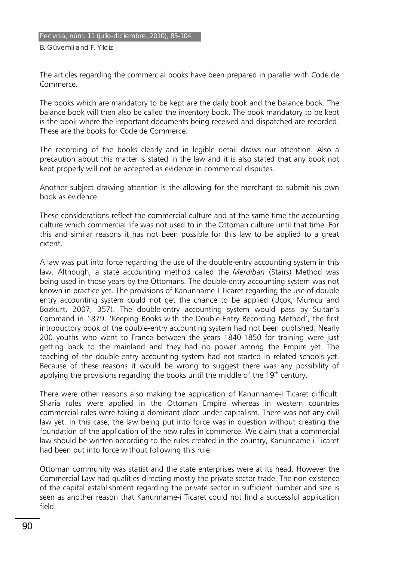The articles regarding the commercial books have been prepared in parallel with Code de Commerce.

The books which are mandatory to be kept are the daily book and the balance book. The balance book will then also be called the inventory book. The book mandatory to be kept is the book where the important documents being received and dispatched are recorded. These are the books for Code de Commerce.

The recording of the books clearly and in legible detail draws our attention. Also a precaution about this matter is stated in the law and it is also stated that any book not kept properly will not be accepted as evidence in commercial disputes.

Another subject drawing attention is the allowing for the merchant to submit his own book as evidence.

These considerations reflect the commercial culture and at the same time the accounting culture which commercial life was not used to in the Ottoman culture until that time. For this and similar reasons it has not been possible for this law to be applied to a great extent.

A law was put into force regarding the use of the double-entry accounting system in this law. Although, a state accounting method called the *Merdiban* (Stairs) Method was being used in those years by the Ottomans. The double-entry accounting system was not known in practice yet. The provisions of Kanunname-I Ticaret regarding the use of double entry accounting system could not get the chance to be applied (Üçok, Mumcu and Bozkurt, 2007, 357). The double-entry accounting system would pass by Sultan's Command in 1879. 'Keeping Books with the Double-Entry Recording Method', the first introductory book of the double-entry accounting system had not been published. Nearly 200 youths who went to France between the years 1840-1850 for training were just getting back to the mainland and they had no power among the Empire yet. The teaching of the double-entry accounting system had not started in related schools yet. Because of these reasons it would be wrong to suggest there was any possibility of applying the provisions regarding the books until the middle of the  $19<sup>th</sup>$  century.

There were other reasons also making the application of Kanunname-i Ticaret difficult. Sharia rules were applied in the Ottoman Empire whereas in western countries commercial rules were taking a dominant place under capitalism. There was not any civil law yet. In this case, the law being put into force was in question without creating the foundation of the application of the new rules in commerce. We claim that a commercial law should be written according to the rules created in the country, Kanunname-i Ticaret had been put into force without following this rule.

Ottoman community was statist and the state enterprises were at its head. However the Commercial Law had qualities directing mostly the private sector trade. The non existence of the capital establishment regarding the private sector in sufficient number and size is seen as another reason that Kanunname-i Ticaret could not find a successful application field.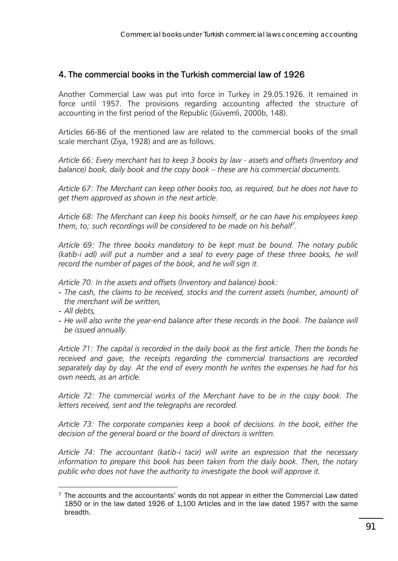### 4. The commercial books in the Turkish commercial law of 1926

Another Commercial Law was put into force in Turkey in 29.05.1926. It remained in force until 1957. The provisions regarding accounting affected the structure of accounting in the first period of the Republic (Güvemli, 2000b, 148).

Articles 66-86 of the mentioned law are related to the commercial books of the small scale merchant (Ziya, 1928) and are as follows.

*Article 66: Every merchant has to keep 3 books by law - assets and offsets (Inventory and balance) book, daily book and the copy book – these are his commercial documents.*

*Article 67: The Merchant can keep other books too, as required, but he does not have to get them approved as shown in the next article.*

*Article 68: The Merchant can keep his books himself, or he can have his employees keep them, to; such recordings will be considered to be made on his behalf*<sup>7</sup> *.*

*Article 69: The three books mandatory to be kept must be bound. The notary public (katib-i adl) will put a number and a seal to every page of these three books, he will record the number of pages of the book, and he will sign it.* 

*Article 70: In the assets and offsets (Inventory and balance) book:* 

- *The cash, the claims to be received, stocks and the current assets (number, amount) of the merchant will be written,*
- *All debts,*

 $\overline{a}$ 

- He will also write the year-end balance after these records in the book. The balance will *be issued annually.* 

*Article 71: The capital is recorded in the daily book as the first article. Then the bonds he received and gave, the receipts regarding the commercial transactions are recorded separately day by day. At the end of every month he writes the expenses he had for his own needs, as an article.* 

*Article 72: The commercial works of the Merchant have to be in the copy book. The letters received, sent and the telegraphs are recorded.*

*Article 73: The corporate companies keep a book of decisions. In the book, either the decision of the general board or the board of directors is written.*

*Article 74: The accountant (katib-i tacir) will write an expression that the necessary information to prepare this book has been taken from the daily book. Then, the notary public who does not have the authority to investigate the book will approve it.*

 $7$  The accounts and the accountants' words do not appear in either the Commercial Law dated 1850 or in the law dated 1926 of 1,100 Articles and in the law dated 1957 with the same breadth.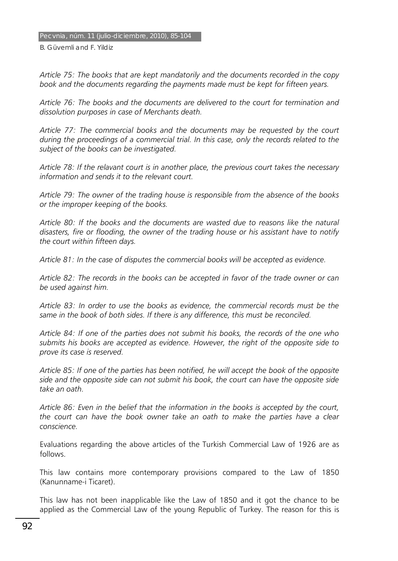*Article 75: The books that are kept mandatorily and the documents recorded in the copy book and the documents regarding the payments made must be kept for fifteen years.* 

*Article 76: The books and the documents are delivered to the court for termination and dissolution purposes in case of Merchants death.* 

*Article 77: The commercial books and the documents may be requested by the court during the proceedings of a commercial trial. In this case, only the records related to the subject of the books can be investigated.* 

*Article 78: If the relavant court is in another place, the previous court takes the necessary information and sends it to the relevant court.* 

*Article 79: The owner of the trading house is responsible from the absence of the books or the improper keeping of the books.* 

*Article 80: If the books and the documents are wasted due to reasons like the natural disasters, fire or flooding, the owner of the trading house or his assistant have to notify the court within fifteen days.* 

*Article 81: In the case of disputes the commercial books will be accepted as evidence.* 

*Article 82: The records in the books can be accepted in favor of the trade owner or can be used against him.* 

*Article 83: In order to use the books as evidence, the commercial records must be the same in the book of both sides. If there is any difference, this must be reconciled.* 

*Article 84: If one of the parties does not submit his books, the records of the one who submits his books are accepted as evidence. However, the right of the opposite side to prove its case is reserved.* 

*Article 85: If one of the parties has been notified, he will accept the book of the opposite side and the opposite side can not submit his book, the court can have the opposite side take an oath.* 

*Article 86: Even in the belief that the information in the books is accepted by the court, the court can have the book owner take an oath to make the parties have a clear conscience.* 

Evaluations regarding the above articles of the Turkish Commercial Law of 1926 are as follows.

This law contains more contemporary provisions compared to the Law of 1850 (Kanunname-i Ticaret).

This law has not been inapplicable like the Law of 1850 and it got the chance to be applied as the Commercial Law of the young Republic of Turkey. The reason for this is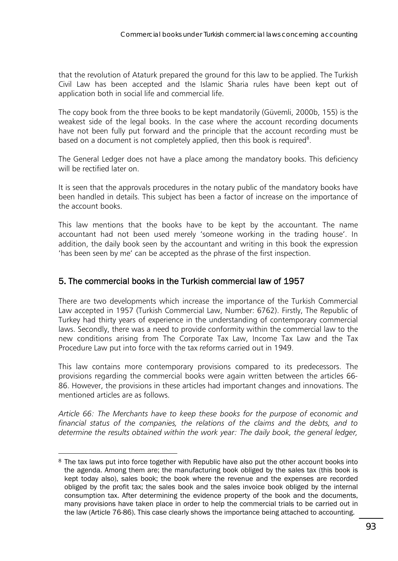that the revolution of Ataturk prepared the ground for this law to be applied. The Turkish Civil Law has been accepted and the Islamic Sharia rules have been kept out of application both in social life and commercial life.

The copy book from the three books to be kept mandatorily (Güvemli, 2000b, 155) is the weakest side of the legal books. In the case where the account recording documents have not been fully put forward and the principle that the account recording must be based on a document is not completely applied, then this book is required $8$ .

The General Ledger does not have a place among the mandatory books. This deficiency will be rectified later on.

It is seen that the approvals procedures in the notary public of the mandatory books have been handled in details. This subject has been a factor of increase on the importance of the account books.

This law mentions that the books have to be kept by the accountant. The name accountant had not been used merely 'someone working in the trading house'. In addition, the daily book seen by the accountant and writing in this book the expression 'has been seen by me' can be accepted as the phrase of the first inspection.

# 5. The commercial books in the Turkish commercial law of 1957

There are two developments which increase the importance of the Turkish Commercial Law accepted in 1957 (Turkish Commercial Law, Number: 6762). Firstly, The Republic of Turkey had thirty years of experience in the understanding of contemporary commercial laws. Secondly, there was a need to provide conformity within the commercial law to the new conditions arising from The Corporate Tax Law, Income Tax Law and the Tax Procedure Law put into force with the tax reforms carried out in 1949.

This law contains more contemporary provisions compared to its predecessors. The provisions regarding the commercial books were again written between the articles 66- 86. However, the provisions in these articles had important changes and innovations. The mentioned articles are as follows.

*Article 66: The Merchants have to keep these books for the purpose of economic and financial status of the companies, the relations of the claims and the debts, and to determine the results obtained within the work year: The daily book, the general ledger,* 

 $\overline{a}$ 8 The tax laws put into force together with Republic have also put the other account books into the agenda. Among them are; the manufacturing book obliged by the sales tax (this book is kept today also), sales book; the book where the revenue and the expenses are recorded obliged by the profit tax; the sales book and the sales invoice book obliged by the internal consumption tax. After determining the evidence property of the book and the documents, many provisions have taken place in order to help the commercial trials to be carried out in the law (Article 76-86). This case clearly shows the importance being attached to accounting.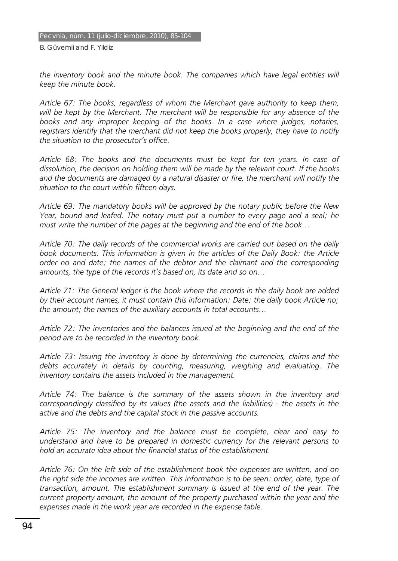the inventory book and the minute book. The companies which have legal entities will *keep the minute book.* 

*Article 67: The books, regardless of whom the Merchant gave authority to keep them, will be kept by the Merchant. The merchant will be responsible for any absence of the books and any improper keeping of the books. In a case where judges, notaries, registrars identify that the merchant did not keep the books properly, they have to notify the situation to the prosecutor's office.* 

*Article 68: The books and the documents must be kept for ten years. In case of dissolution, the decision on holding them will be made by the relevant court. If the books and the documents are damaged by a natural disaster or fire, the merchant will notify the situation to the court within fifteen days.* 

*Article 69: The mandatory books will be approved by the notary public before the New Year, bound and leafed. The notary must put a number to every page and a seal; he must write the number of the pages at the beginning and the end of the book…* 

*Article 70: The daily records of the commercial works are carried out based on the daily*  book documents. This information is given in the articles of the Daily Book: the Article *order no and date; the names of the debtor and the claimant and the corresponding amounts, the type of the records it's based on, its date and so on…* 

*Article 71: The General ledger is the book where the records in the daily book are added by their account names, it must contain this information: Date; the daily book Article no; the amount; the names of the auxiliary accounts in total accounts…* 

*Article 72: The inventories and the balances issued at the beginning and the end of the period are to be recorded in the inventory book.* 

*Article 73: Issuing the inventory is done by determining the currencies, claims and the debts accurately in details by counting, measuring, weighing and evaluating. The inventory contains the assets included in the management.* 

*Article 74: The balance is the summary of the assets shown in the inventory and correspondingly classified by its values (the assets and the liabilities) - the assets in the active and the debts and the capital stock in the passive accounts.* 

*Article 75: The inventory and the balance must be complete, clear and easy to understand and have to be prepared in domestic currency for the relevant persons to hold an accurate idea about the financial status of the establishment.* 

*Article 76: On the left side of the establishment book the expenses are written, and on the right side the incomes are written. This information is to be seen: order, date, type of transaction, amount. The establishment summary is issued at the end of the year. The current property amount, the amount of the property purchased within the year and the*  expenses made in the work year are recorded in the expense table.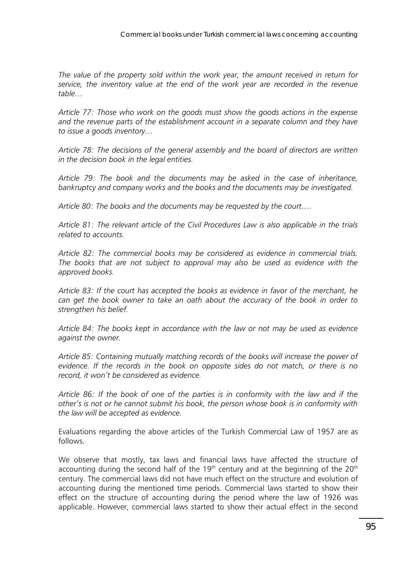*The value of the property sold within the work year, the amount received in return for service, the inventory value at the end of the work year are recorded in the revenue table…* 

*Article 77: Those who work on the goods must show the goods actions in the expense*  and the revenue parts of the establishment account in a separate column and they have *to issue a goods inventory…* 

*Article 78: The decisions of the general assembly and the board of directors are written in the decision book in the legal entities.* 

*Article 79: The book and the documents may be asked in the case of inheritance, bankruptcy and company works and the books and the documents may be investigated.* 

*Article 80: The books and the documents may be requested by the court….* 

*Article 81: The relevant article of the Civil Procedures Law is also applicable in the trials related to accounts.* 

*Article 82: The commercial books may be considered as evidence in commercial trials. The books that are not subject to approval may also be used as evidence with the approved books.* 

*Article 83: If the court has accepted the books as evidence in favor of the merchant, he can get the book owner to take an oath about the accuracy of the book in order to strengthen his belief.* 

*Article 84: The books kept in accordance with the law or not may be used as evidence against the owner.* 

*Article 85: Containing mutually matching records of the books will increase the power of evidence. If the records in the book on opposite sides do not match, or there is no record, it won't be considered as evidence.* 

*Article 86: If the book of one of the parties is in conformity with the law and if the other's is not or he cannot submit his book, the person whose book is in conformity with the law will be accepted as evidence.* 

Evaluations regarding the above articles of the Turkish Commercial Law of 1957 are as follows.

We observe that mostly, tax laws and financial laws have affected the structure of accounting during the second half of the  $19<sup>th</sup>$  century and at the beginning of the  $20<sup>th</sup>$ century. The commercial laws did not have much effect on the structure and evolution of accounting during the mentioned time periods. Commercial laws started to show their effect on the structure of accounting during the period where the law of 1926 was applicable. However, commercial laws started to show their actual effect in the second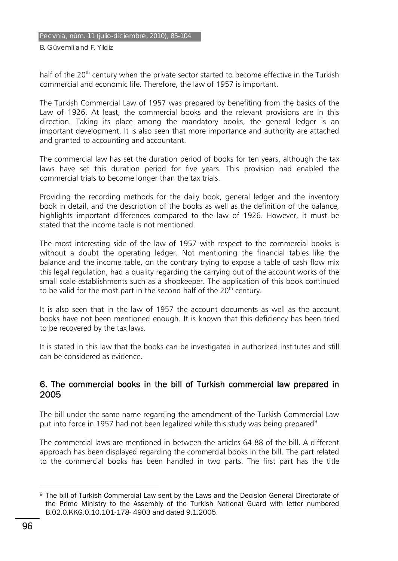#### Pecvnia, núm. 11 (julio-diciembre, 2010), 85-104

B. Güvemli and F. Yildiz

half of the 20<sup>th</sup> century when the private sector started to become effective in the Turkish commercial and economic life. Therefore, the law of 1957 is important.

The Turkish Commercial Law of 1957 was prepared by benefiting from the basics of the Law of 1926. At least, the commercial books and the relevant provisions are in this direction. Taking its place among the mandatory books, the general ledger is an important development. It is also seen that more importance and authority are attached and granted to accounting and accountant.

The commercial law has set the duration period of books for ten years, although the tax laws have set this duration period for five years. This provision had enabled the commercial trials to become longer than the tax trials.

Providing the recording methods for the daily book, general ledger and the inventory book in detail, and the description of the books as well as the definition of the balance, highlights important differences compared to the law of 1926. However, it must be stated that the income table is not mentioned.

The most interesting side of the law of 1957 with respect to the commercial books is without a doubt the operating ledger. Not mentioning the financial tables like the balance and the income table, on the contrary trying to expose a table of cash flow mix this legal regulation, had a quality regarding the carrying out of the account works of the small scale establishments such as a shopkeeper. The application of this book continued to be valid for the most part in the second half of the  $20<sup>th</sup>$  century.

It is also seen that in the law of 1957 the account documents as well as the account books have not been mentioned enough. It is known that this deficiency has been tried to be recovered by the tax laws.

It is stated in this law that the books can be investigated in authorized institutes and still can be considered as evidence.

#### 6. The commercial books in the bill of Turkish commercial law prepared in 2005

The bill under the same name regarding the amendment of the Turkish Commercial Law put into force in 1957 had not been legalized while this study was being prepared<sup>9</sup>.

The commercial laws are mentioned in between the articles 64-88 of the bill. A different approach has been displayed regarding the commercial books in the bill. The part related to the commercial books has been handled in two parts. The first part has the title

 $\overline{a}$ 9 The bill of Turkish Commercial Law sent by the Laws and the Decision General Directorate of the Prime Ministry to the Assembly of the Turkish National Guard with letter numbered B.02.0.KKG.0.10.101-178- 4903 and dated 9.1.2005.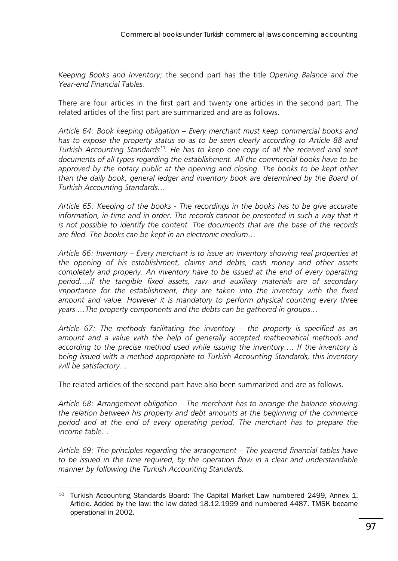*Keeping Books and Inventory*; the second part has the title *Opening Balance and the Year-end Financial Tables*.

There are four articles in the first part and twenty one articles in the second part. The related articles of the first part are summarized and are as follows.

*Article 64: Book keeping obligation – Every merchant must keep commercial books and has to expose the property status so as to be seen clearly according to Article 88 and Turkish Accounting Standards10. He has to keep one copy of all the received and sent documents of all types regarding the establishment. All the commercial books have to be*  approved by the notary public at the opening and closing. The books to be kept other *than the daily book, general ledger and inventory book are determined by the Board of Turkish Accounting Standards…* 

*Article 65: Keeping of the books - The recordings in the books has to be give accurate*  information, in time and in order. The records cannot be presented in such a way that it *is not possible to identify the content. The documents that are the base of the records are filed. The books can be kept in an electronic medium…* 

*Article 66: Inventory – Every merchant is to issue an inventory showing real properties at the opening of his establishment, claims and debts, cash money and other assets completely and properly. An inventory have to be issued at the end of every operating period….If the tangible fixed assets, raw and auxiliary materials are of secondary importance for the establishment, they are taken into the inventory with the fixed amount and value. However it is mandatory to perform physical counting every three years …The property components and the debts can be gathered in groups…* 

*Article 67: The methods facilitating the inventory – the property is specified as an*  amount and a value with the help of generally accepted mathematical methods and *according to the precise method used while issuing the inventory…. If the inventory is being issued with a method appropriate to Turkish Accounting Standards, this inventory will be satisfactory…* 

The related articles of the second part have also been summarized and are as follows.

*Article 68: Arrangement obligation – The merchant has to arrange the balance showing the relation between his property and debt amounts at the beginning of the commerce period and at the end of every operating period. The merchant has to prepare the income table…* 

*Article 69: The principles regarding the arrangement – The yearend financial tables have to be issued in the time required, by the operation flow in a clear and understandable manner by following the Turkish Accounting Standards.* 

 $\overline{a}$ 

<sup>&</sup>lt;sup>10</sup> Turkish Accounting Standards Board: The Capital Market Law numbered 2499, Annex 1. Article. Added by the law: the law dated 18.12.1999 and numbered 4487. TMSK became operational in 2002.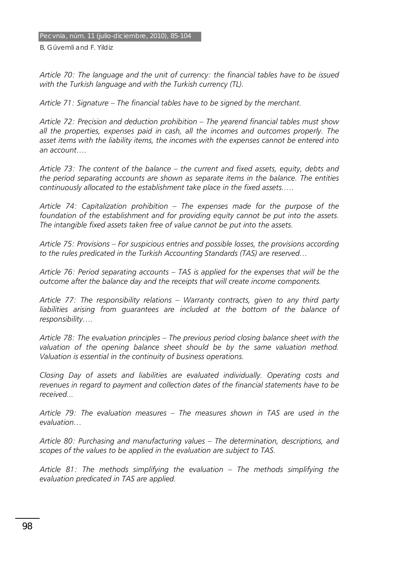*Article 70: The language and the unit of currency: the financial tables have to be issued with the Turkish language and with the Turkish currency (TL).* 

*Article 71: Signature – The financial tables have to be signed by the merchant.* 

*Article 72: Precision and deduction prohibition – The yearend financial tables must show all the properties, expenses paid in cash, all the incomes and outcomes properly. The asset items with the liability items, the incomes with the expenses cannot be entered into an account….* 

*Article 73: The content of the balance – the current and fixed assets, equity, debts and the period separating accounts are shown as separate items in the balance. The entities continuously allocated to the establishment take place in the fixed assets.….* 

*Article 74: Capitalization prohibition – The expenses made for the purpose of the foundation of the establishment and for providing equity cannot be put into the assets. The intangible fixed assets taken free of value cannot be put into the assets.* 

*Article 75: Provisions – For suspicious entries and possible losses, the provisions according to the rules predicated in the Turkish Accounting Standards (TAS) are reserved…* 

*Article 76: Period separating accounts – TAS is applied for the expenses that will be the outcome after the balance day and the receipts that will create income components.* 

*Article 77: The responsibility relations – Warranty contracts, given to any third party*  liabilities arising from guarantees are included at the bottom of the balance of *responsibility….* 

*Article 78: The evaluation principles – The previous period closing balance sheet with the*  valuation of the opening balance sheet should be by the same valuation method. *Valuation is essential in the continuity of business operations.* 

*Closing Day of assets and liabilities are evaluated individually. Operating costs and revenues in regard to payment and collection dates of the financial statements have to be received...* 

*Article 79: The evaluation measures – The measures shown in TAS are used in the evaluation…* 

*Article 80: Purchasing and manufacturing values – The determination, descriptions, and scopes of the values to be applied in the evaluation are subject to TAS.* 

*Article 81: The methods simplifying the evaluation – The methods simplifying the evaluation predicated in TAS are applied.*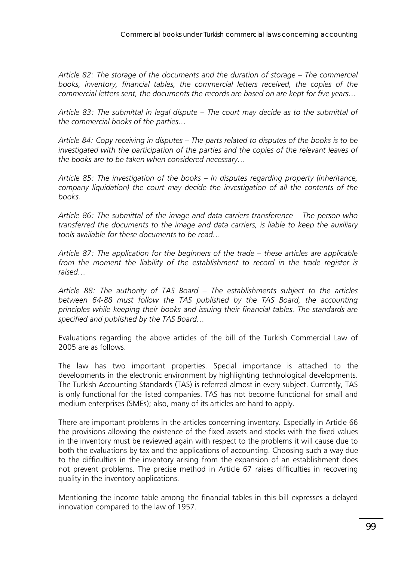*Article 82: The storage of the documents and the duration of storage – The commercial books, inventory, financial tables, the commercial letters received, the copies of the commercial letters sent, the documents the records are based on are kept for five years…* 

*Article 83: The submittal in legal dispute – The court may decide as to the submittal of the commercial books of the parties…* 

*Article 84: Copy receiving in disputes – The parts related to disputes of the books is to be investigated with the participation of the parties and the copies of the relevant leaves of the books are to be taken when considered necessary…* 

*Article 85: The investigation of the books – In disputes regarding property (inheritance, company liquidation) the court may decide the investigation of all the contents of the books.* 

*Article 86: The submittal of the image and data carriers transference – The person who transferred the documents to the image and data carriers, is liable to keep the auxiliary tools available for these documents to be read…* 

*Article 87: The application for the beginners of the trade – these articles are applicable from the moment the liability of the establishment to record in the trade register is raised…* 

*Article 88: The authority of TAS Board – The establishments subject to the articles between 64-88 must follow the TAS published by the TAS Board, the accounting principles while keeping their books and issuing their financial tables. The standards are specified and published by the TAS Board…* 

Evaluations regarding the above articles of the bill of the Turkish Commercial Law of 2005 are as follows.

The law has two important properties. Special importance is attached to the developments in the electronic environment by highlighting technological developments. The Turkish Accounting Standards (TAS) is referred almost in every subject. Currently, TAS is only functional for the listed companies. TAS has not become functional for small and medium enterprises (SMEs); also, many of its articles are hard to apply.

There are important problems in the articles concerning inventory. Especially in Article 66 the provisions allowing the existence of the fixed assets and stocks with the fixed values in the inventory must be reviewed again with respect to the problems it will cause due to both the evaluations by tax and the applications of accounting. Choosing such a way due to the difficulties in the inventory arising from the expansion of an establishment does not prevent problems. The precise method in Article 67 raises difficulties in recovering quality in the inventory applications.

Mentioning the income table among the financial tables in this bill expresses a delayed innovation compared to the law of 1957.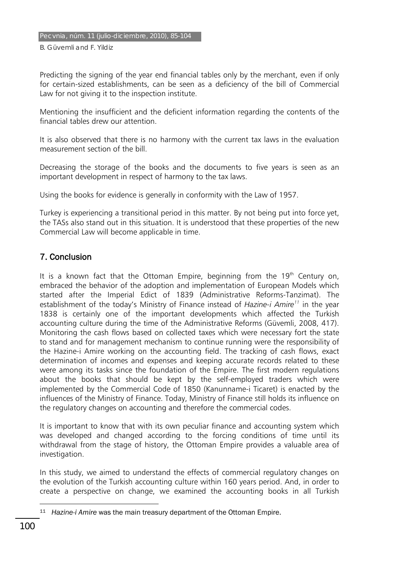Predicting the signing of the year end financial tables only by the merchant, even if only for certain-sized establishments, can be seen as a deficiency of the bill of Commercial Law for not giving it to the inspection institute.

Mentioning the insufficient and the deficient information regarding the contents of the financial tables drew our attention.

It is also observed that there is no harmony with the current tax laws in the evaluation measurement section of the bill.

Decreasing the storage of the books and the documents to five years is seen as an important development in respect of harmony to the tax laws.

Using the books for evidence is generally in conformity with the Law of 1957.

Turkey is experiencing a transitional period in this matter. By not being put into force yet, the TASs also stand out in this situation. It is understood that these properties of the new Commercial Law will become applicable in time.

# 7. Conclusion

It is a known fact that the Ottoman Empire, beginning from the  $19<sup>th</sup>$  Century on, embraced the behavior of the adoption and implementation of European Models which started after the Imperial Edict of 1839 (Administrative Reforms-Tanzimat). The establishment of the today's Ministry of Finance instead of *Hazine-i Amire<sup>11</sup>* in the year 1838 is certainly one of the important developments which affected the Turkish accounting culture during the time of the Administrative Reforms (Güvemli, 2008, 417). Monitoring the cash flows based on collected taxes which were necessary fort the state to stand and for management mechanism to continue running were the responsibility of the Hazine-i Amire working on the accounting field. The tracking of cash flows, exact determination of incomes and expenses and keeping accurate records related to these were among its tasks since the foundation of the Empire. The first modern regulations about the books that should be kept by the self-employed traders which were implemented by the Commercial Code of 1850 (Kanunname-i Ticaret) is enacted by the influences of the Ministry of Finance. Today, Ministry of Finance still holds its influence on the regulatory changes on accounting and therefore the commercial codes.

It is important to know that with its own peculiar finance and accounting system which was developed and changed according to the forcing conditions of time until its withdrawal from the stage of history, the Ottoman Empire provides a valuable area of investigation.

In this study, we aimed to understand the effects of commercial regulatory changes on the evolution of the Turkish accounting culture within 160 years period. And, in order to create a perspective on change, we examined the accounting books in all Turkish

 $\overline{a}$ 11 *Hazine-i Amire* was the main treasury department of the Ottoman Empire.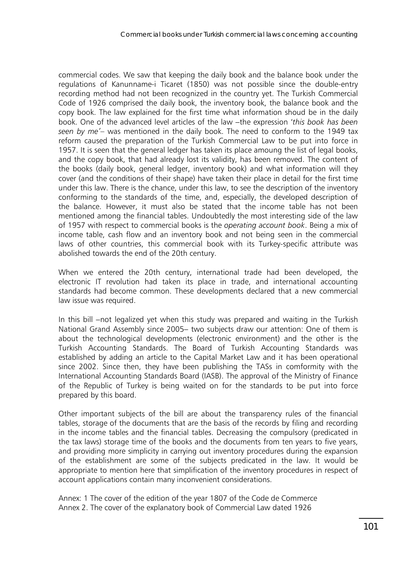commercial codes. We saw that keeping the daily book and the balance book under the regulations of Kanunname-i Ticaret (1850) was not possible since the double-entry recording method had not been recognized in the country yet. The Turkish Commercial Code of 1926 comprised the daily book, the inventory book, the balance book and the copy book. The law explained for the first time what information shoud be in the daily book. One of the advanced level articles of the law −the expression '*this book has been seen by me'*– was mentioned in the daily book. The need to conform to the 1949 tax reform caused the preparation of the Turkish Commercial Law to be put into force in 1957. It is seen that the general ledger has taken its place amoung the list of legal books, and the copy book, that had already lost its validity, has been removed. The content of the books (daily book, general ledger, inventory book) and what information will they cover (and the conditions of their shape) have taken their place in detail for the first time under this law. There is the chance, under this law, to see the description of the inventory conforming to the standards of the time, and, especially, the developed description of the balance. However, it must also be stated that the income table has not been mentioned among the financial tables. Undoubtedly the most interesting side of the law of 1957 with respect to commercial books is the *operating account book*. Being a mix of income table, cash flow and an inventory book and not being seen in the commercial laws of other countries, this commercial book with its Turkey-specific attribute was abolished towards the end of the 20th century.

When we entered the 20th century, international trade had been developed, the electronic IT revolution had taken its place in trade, and international accounting standards had become common. These developments declared that a new commercial law issue was required.

In this bill −not legalized yet when this study was prepared and waiting in the Turkish National Grand Assembly since 2005− two subjects draw our attention: One of them is about the technological developments (electronic environment) and the other is the Turkish Accounting Standards. The Board of Turkish Accounting Standards was established by adding an article to the Capital Market Law and it has been operational since 2002. Since then, they have been publishing the TASs in comformity with the International Accounting Standards Board (IASB). The approval of the Ministry of Finance of the Republic of Turkey is being waited on for the standards to be put into force prepared by this board.

Other important subjects of the bill are about the transparency rules of the financial tables, storage of the documents that are the basis of the records by filing and recording in the income tables and the financial tables. Decreasing the compulsory (predicated in the tax laws) storage time of the books and the documents from ten years to five years, and providing more simplicity in carrying out inventory procedures during the expansion of the establishment are some of the subjects predicated in the law. It would be appropriate to mention here that simplification of the inventory procedures in respect of account applications contain many inconvenient considerations.

Annex: 1 The cover of the edition of the year 1807 of the Code de Commerce Annex 2. The cover of the explanatory book of Commercial Law dated 1926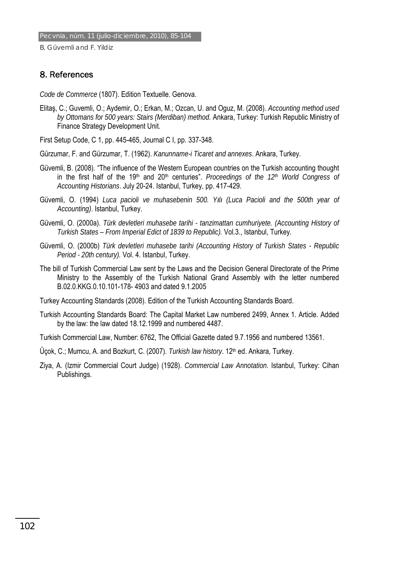#### 8. References

*Code de Commerce* (1807). Edition Textuelle. Genova.

Elitaş, C.; Guvemli, O.; Aydemir, O.; Erkan, M.; Ozcan, U. and Oguz, M. (2008). *Accounting method used by Ottomans for 500 years: Stairs (Merdiban) method.* Ankara, Turkey: Turkish Republic Ministry of Finance Strategy Development Unit.

First Setup Code, C 1, pp. 445-465, Journal C I, pp. 337-348.

Gürzumar, F. and Gürzumar, T. (1962). *Kanunname-i Ticaret and annexes*. Ankara, Turkey.

- Güvemli, B. (2008). "The influence of the Western European countries on the Turkish accounting thought in the first half of the 19<sup>th</sup> and 20<sup>th</sup> centuries". *Proceedings of the 12<sup>th</sup> World Congress of Accounting Historians*. July 20-24. Istanbul, Turkey, pp. 417-429.
- Güvemli, O. (1994) *Luca pacioli ve muhasebenin 500. Yılı (Luca Pacioli and the 500th year of Accounting)*. Istanbul, Turkey.
- Güvemli, O. (2000a). *Türk devletleri muhasebe tarihi tanzimattan cumhuriyete. (Accounting History of Turkish States – From Imperial Edict of 1839 to Republic).* Vol.3., Istanbul, Turkey.
- Güvemli, O. (2000b) *Türk devletleri muhasebe tarihi (Accounting History of Turkish States Republic Period - 20th century).* Vol. 4. Istanbul, Turkey.
- The bill of Turkish Commercial Law sent by the Laws and the Decision General Directorate of the Prime Ministry to the Assembly of the Turkish National Grand Assembly with the letter numbered B.02.0.KKG.0.10.101-178- 4903 and dated 9.1.2005

Turkey Accounting Standards (2008). Edition of the Turkish Accounting Standards Board.

Turkish Accounting Standards Board: The Capital Market Law numbered 2499, Annex 1. Article. Added by the law: the law dated 18.12.1999 and numbered 4487.

Turkish Commercial Law, Number: 6762, The Official Gazette dated 9.7.1956 and numbered 13561.

- Üçok, C.; Mumcu, A. and Bozkurt, C. (2007). *Turkish law history*. 12<sup>th</sup> ed. Ankara, Turkey.
- Ziya, A. (Izmir Commercial Court Judge) (1928). *Commercial Law Annotation*. Istanbul, Turkey: Cihan Publishings.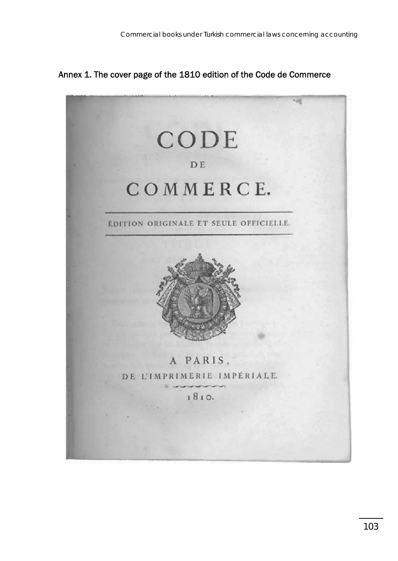Annex 1. The cover page of the 1810 edition of the Code de Commerce